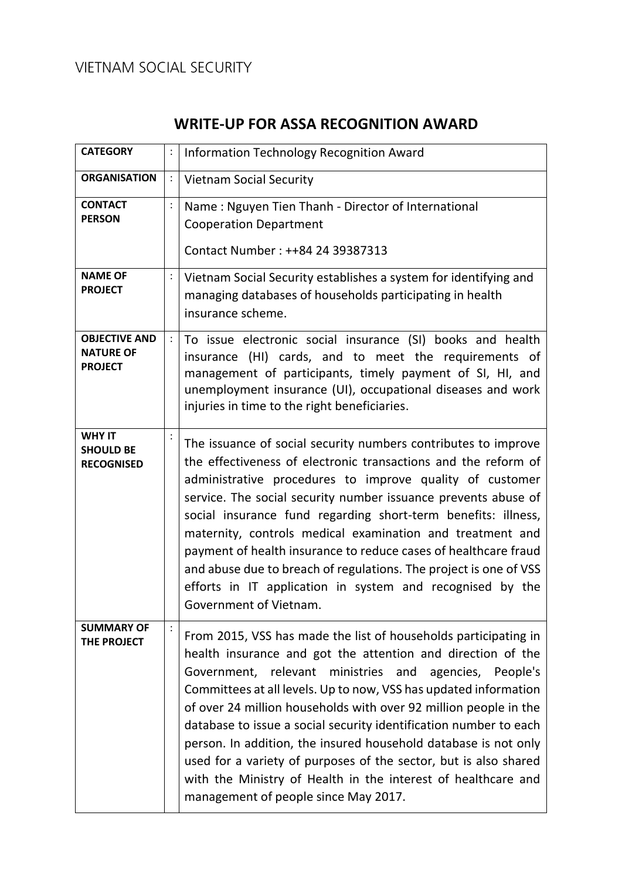# VIETNAM SOCIAL SECURITY

# **WRITE-UP FOR ASSA RECOGNITION AWARD**

| <b>CATEGORY</b>                                            | :              | Information Technology Recognition Award                                                                                                                                                                                                                                                                                                                                                                                                                                                                                                                                                                                                              |
|------------------------------------------------------------|----------------|-------------------------------------------------------------------------------------------------------------------------------------------------------------------------------------------------------------------------------------------------------------------------------------------------------------------------------------------------------------------------------------------------------------------------------------------------------------------------------------------------------------------------------------------------------------------------------------------------------------------------------------------------------|
| <b>ORGANISATION</b>                                        | :              | <b>Vietnam Social Security</b>                                                                                                                                                                                                                                                                                                                                                                                                                                                                                                                                                                                                                        |
| <b>CONTACT</b><br><b>PERSON</b>                            | $\ddot{\cdot}$ | Name: Nguyen Tien Thanh - Director of International<br><b>Cooperation Department</b><br>Contact Number: ++84 24 39387313                                                                                                                                                                                                                                                                                                                                                                                                                                                                                                                              |
| <b>NAME OF</b><br><b>PROJECT</b>                           |                | Vietnam Social Security establishes a system for identifying and<br>managing databases of households participating in health<br>insurance scheme.                                                                                                                                                                                                                                                                                                                                                                                                                                                                                                     |
| <b>OBJECTIVE AND</b><br><b>NATURE OF</b><br><b>PROJECT</b> |                | To issue electronic social insurance (SI) books and health<br>insurance (HI) cards, and to meet the requirements of<br>management of participants, timely payment of SI, HI, and<br>unemployment insurance (UI), occupational diseases and work<br>injuries in time to the right beneficiaries.                                                                                                                                                                                                                                                                                                                                                       |
| <b>WHY IT</b><br><b>SHOULD BE</b><br><b>RECOGNISED</b>     |                | The issuance of social security numbers contributes to improve<br>the effectiveness of electronic transactions and the reform of<br>administrative procedures to improve quality of customer<br>service. The social security number issuance prevents abuse of<br>social insurance fund regarding short-term benefits: illness,<br>maternity, controls medical examination and treatment and<br>payment of health insurance to reduce cases of healthcare fraud<br>and abuse due to breach of regulations. The project is one of VSS<br>efforts in IT application in system and recognised by the<br>Government of Vietnam.                           |
| <b>SUMMARY OF</b><br>THE PROJECT                           | $\ddot{\cdot}$ | From 2015, VSS has made the list of households participating in<br>health insurance and got the attention and direction of the<br>Government, relevant ministries and agencies, People's<br>Committees at all levels. Up to now, VSS has updated information<br>of over 24 million households with over 92 million people in the<br>database to issue a social security identification number to each<br>person. In addition, the insured household database is not only<br>used for a variety of purposes of the sector, but is also shared<br>with the Ministry of Health in the interest of healthcare and<br>management of people since May 2017. |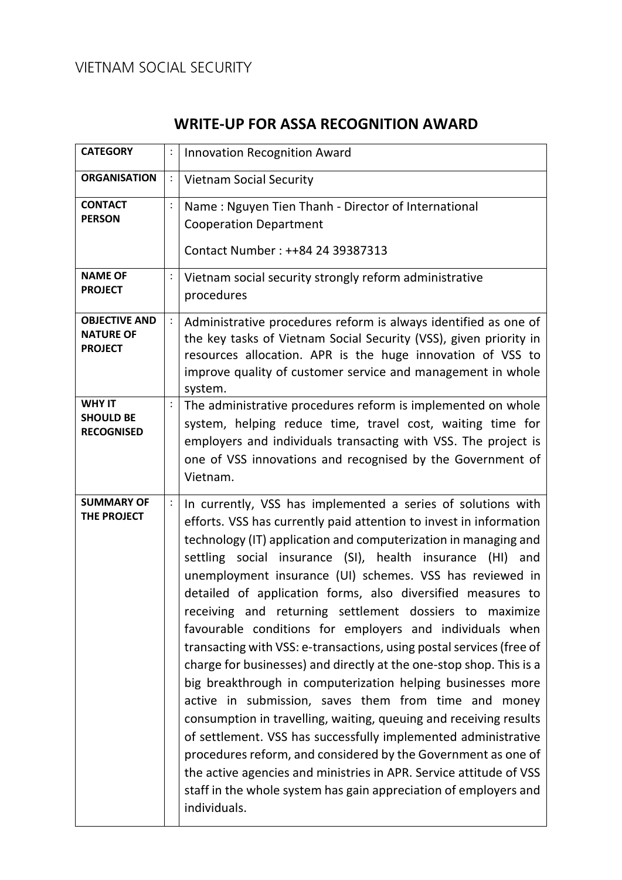# VIETNAM SOCIAL SECURITY

# **WRITE-UP FOR ASSA RECOGNITION AWARD**

| <b>CATEGORY</b>                                            | :              | <b>Innovation Recognition Award</b>                                                                                                                                                                                                                                                                                                                                                                                                                                                                                                                                                                                                                                                                                                                                                                                                                                                                                                                                                                                                                                                                                                                          |
|------------------------------------------------------------|----------------|--------------------------------------------------------------------------------------------------------------------------------------------------------------------------------------------------------------------------------------------------------------------------------------------------------------------------------------------------------------------------------------------------------------------------------------------------------------------------------------------------------------------------------------------------------------------------------------------------------------------------------------------------------------------------------------------------------------------------------------------------------------------------------------------------------------------------------------------------------------------------------------------------------------------------------------------------------------------------------------------------------------------------------------------------------------------------------------------------------------------------------------------------------------|
| <b>ORGANISATION</b>                                        |                | <b>Vietnam Social Security</b>                                                                                                                                                                                                                                                                                                                                                                                                                                                                                                                                                                                                                                                                                                                                                                                                                                                                                                                                                                                                                                                                                                                               |
| <b>CONTACT</b><br><b>PERSON</b>                            | $\ddot{\cdot}$ | Name: Nguyen Tien Thanh - Director of International<br><b>Cooperation Department</b><br>Contact Number: ++84 24 39387313                                                                                                                                                                                                                                                                                                                                                                                                                                                                                                                                                                                                                                                                                                                                                                                                                                                                                                                                                                                                                                     |
| <b>NAME OF</b><br><b>PROJECT</b>                           |                | Vietnam social security strongly reform administrative<br>procedures                                                                                                                                                                                                                                                                                                                                                                                                                                                                                                                                                                                                                                                                                                                                                                                                                                                                                                                                                                                                                                                                                         |
| <b>OBJECTIVE AND</b><br><b>NATURE OF</b><br><b>PROJECT</b> |                | Administrative procedures reform is always identified as one of<br>the key tasks of Vietnam Social Security (VSS), given priority in<br>resources allocation. APR is the huge innovation of VSS to<br>improve quality of customer service and management in whole<br>system.                                                                                                                                                                                                                                                                                                                                                                                                                                                                                                                                                                                                                                                                                                                                                                                                                                                                                 |
| <b>WHY IT</b><br><b>SHOULD BE</b><br><b>RECOGNISED</b>     |                | The administrative procedures reform is implemented on whole<br>system, helping reduce time, travel cost, waiting time for<br>employers and individuals transacting with VSS. The project is<br>one of VSS innovations and recognised by the Government of<br>Vietnam.                                                                                                                                                                                                                                                                                                                                                                                                                                                                                                                                                                                                                                                                                                                                                                                                                                                                                       |
| <b>SUMMARY OF</b><br>THE PROJECT                           | $\ddot{\cdot}$ | In currently, VSS has implemented a series of solutions with<br>efforts. VSS has currently paid attention to invest in information<br>technology (IT) application and computerization in managing and<br>settling social insurance (SI), health insurance (HI) and<br>unemployment insurance (UI) schemes. VSS has reviewed in<br>detailed of application forms, also diversified measures to<br>receiving and returning settlement dossiers to maximize<br>favourable conditions for employers and individuals when<br>transacting with VSS: e-transactions, using postal services (free of<br>charge for businesses) and directly at the one-stop shop. This is a<br>big breakthrough in computerization helping businesses more<br>active in submission, saves them from time and money<br>consumption in travelling, waiting, queuing and receiving results<br>of settlement. VSS has successfully implemented administrative<br>procedures reform, and considered by the Government as one of<br>the active agencies and ministries in APR. Service attitude of VSS<br>staff in the whole system has gain appreciation of employers and<br>individuals. |